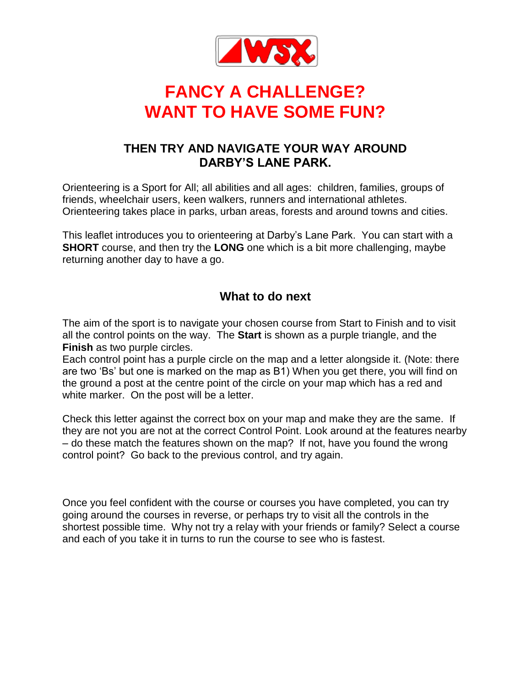

# **FANCY A CHALLENGE? WANT TO HAVE SOME FUN?**

## **THEN TRY AND NAVIGATE YOUR WAY AROUND DARBY'S LANE PARK.**

Orienteering is a Sport for All; all abilities and all ages: children, families, groups of friends, wheelchair users, keen walkers, runners and international athletes. Orienteering takes place in parks, urban areas, forests and around towns and cities.

This leaflet introduces you to orienteering at Darby's Lane Park. You can start with a **SHORT** course, and then try the **LONG** one which is a bit more challenging, maybe returning another day to have a go.

### **What to do next**

The aim of the sport is to navigate your chosen course from Start to Finish and to visit all the control points on the way. The **Start** is shown as a purple triangle, and the **Finish** as two purple circles.

Each control point has a purple circle on the map and a letter alongside it. (Note: there are two 'Bs' but one is marked on the map as B1) When you get there, you will find on the ground a post at the centre point of the circle on your map which has a red and white marker. On the post will be a letter.

Check this letter against the correct box on your map and make they are the same. If they are not you are not at the correct Control Point. Look around at the features nearby – do these match the features shown on the map? If not, have you found the wrong control point? Go back to the previous control, and try again.

Once you feel confident with the course or courses you have completed, you can try going around the courses in reverse, or perhaps try to visit all the controls in the shortest possible time. Why not try a relay with your friends or family? Select a course and each of you take it in turns to run the course to see who is fastest.